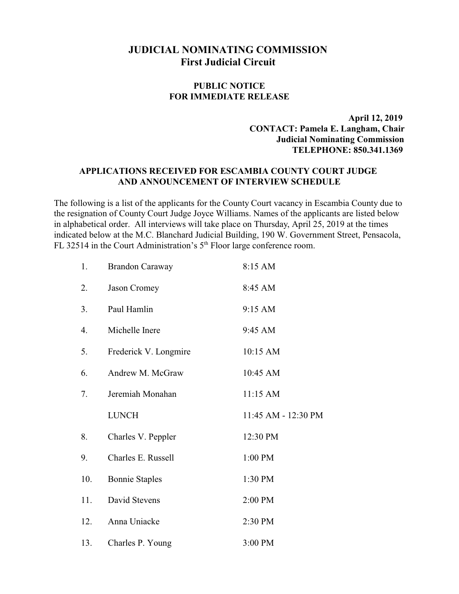## **JUDICIAL NOMINATING COMMISSION First Judicial Circuit**

## **PUBLIC NOTICE FOR IMMEDIATE RELEASE**

 **April 12, 2019 CONTACT: Pamela E. Langham, Chair Judicial Nominating Commission TELEPHONE: 850.341.1369**

## **APPLICATIONS RECEIVED FOR ESCAMBIA COUNTY COURT JUDGE AND ANNOUNCEMENT OF INTERVIEW SCHEDULE**

The following is a list of the applicants for the County Court vacancy in Escambia County due to the resignation of County Court Judge Joyce Williams. Names of the applicants are listed below in alphabetical order. All interviews will take place on Thursday, April 25, 2019 at the times indicated below at the M.C. Blanchard Judicial Building, 190 W. Government Street, Pensacola, FL 32514 in the Court Administration's  $5<sup>th</sup>$  Floor large conference room.

| 1.               | <b>Brandon Caraway</b> | 8:15 AM             |
|------------------|------------------------|---------------------|
| 2.               | Jason Cromey           | 8:45 AM             |
| 3.               | Paul Hamlin            | 9:15 AM             |
| $\overline{4}$ . | Michelle Inere         | 9:45 AM             |
| 5.               | Frederick V. Longmire  | 10:15 AM            |
| 6.               | Andrew M. McGraw       | 10:45 AM            |
| 7.               | Jeremiah Monahan       | 11:15 AM            |
|                  | <b>LUNCH</b>           | 11:45 AM - 12:30 PM |
| 8.               | Charles V. Peppler     | 12:30 PM            |
| 9.               | Charles E. Russell     | 1:00 PM             |
| 10.              | <b>Bonnie Staples</b>  | 1:30 PM             |
| 11.              | David Stevens          | 2:00 PM             |
| 12.              | Anna Uniacke           | 2:30 PM             |
| 13.              | Charles P. Young       | 3:00 PM             |